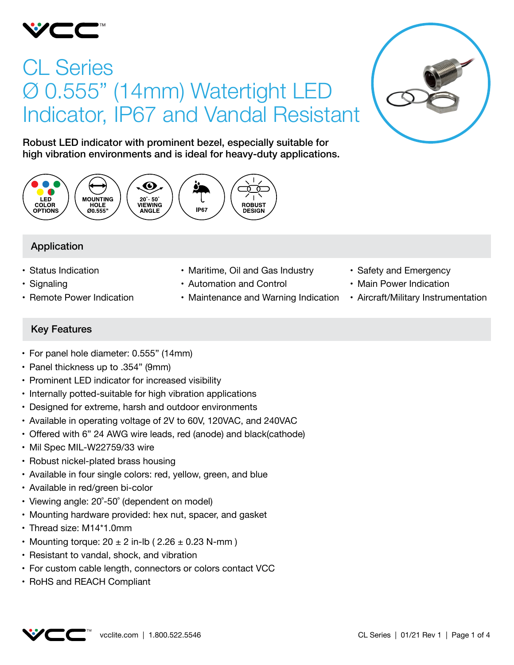

# CL Series Ø 0.555" (14mm) Watertight LED Indicator, IP67 and Vandal Resistant



Robust LED indicator with prominent bezel, especially suitable for high vibration environments and is ideal for heavy-duty applications.



# Application

- • Status Indication
- Signaling
- Remote Power Indication
- Maritime, Oil and Gas Industry
- • Automation and Control
- Maintenance and Warning Indication
- Safety and Emergency
- Main Power Indication
- Aircraft/Military Instrumentation

# Key Features

- • For panel hole diameter: 0.555" (14mm)
- • Panel thickness up to .354" (9mm)
- Prominent LED indicator for increased visibility
- Internally potted-suitable for high vibration applications
- • Designed for extreme, harsh and outdoor environments
- Available in operating voltage of 2V to 60V, 120VAC, and 240VAC
- Offered with 6" 24 AWG wire leads, red (anode) and black(cathode)
- Mil Spec MIL-W22759/33 wire
- Robust nickel-plated brass housing
- Available in four single colors: red, yellow, green, and blue
- Available in red/green bi-color
- Viewing angle: 20°-50° (dependent on model)
- Mounting hardware provided: hex nut, spacer, and gasket
- Thread size: M14\*1.0mm
- Mounting torque:  $20 \pm 2$  in-lb (  $2.26 \pm 0.23$  N-mm )
- Resistant to vandal, shock, and vibration
- For custom cable length, connectors or colors contact VCC
- • RoHS and REACH Compliant

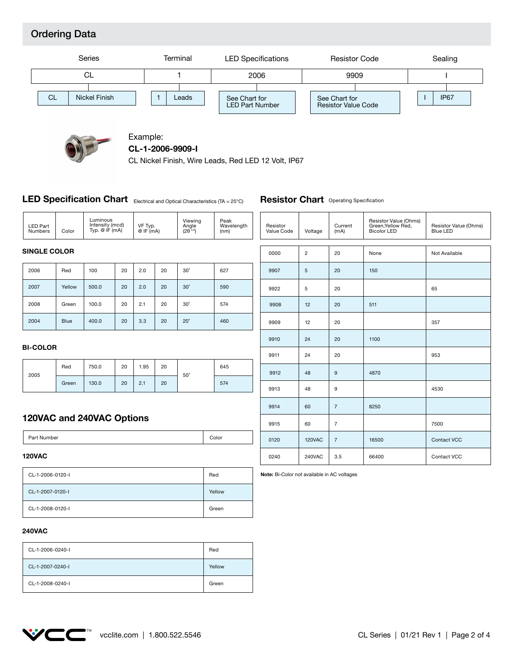# Ordering Data





#### Example: **CL-1-2006-9909-I**

CL Nickel Finish, Wire Leads, Red LED 12 Volt, IP67

#### **LED Specification Chart** Electrical and Optical Characteristics (TA = 25°C)

2006 Red 100 20 2.0 20 30˚ 2007 Yellow 500.0 2.0 20 20 30˚ 627 590 LED Part Numbers **SINGLE COLOR** Color VF Typ. @ IF (mA) Viewing Angle (2θ 1/2) Peak<br>Wavelength (nm) Luminous Intensity (mcd) Typ. @ IF (mA) Resistor |<br>Value Code | Voltage | (mA) (mA) Resistor Value (Ohms) Green,Yellow Red, Bicolor LED 0000 2 20 None Not Available 9907 5 20 150 9922 5 20

460

574

### **BI-COLOR**

Blue

Green

2004

2008

| 2005 | Red   | 750.0 | 20 | 1.95 | 20 | $50^\circ$ | 645 |
|------|-------|-------|----|------|----|------------|-----|
|      | Green | 130.0 | 20 | 2.1  | 20 |            | 574 |

3.3

100.0  $\begin{array}{|c|c|c|c|c|c|c|c|c|} \hline 20 & 2.1 & 20 & 30 \ \hline \end{array}$ 

20

20˚

20

| uuu  | ے      | ∠∪             | <b>INDITE</b> | <b>INOL AVAILADIC</b> |
|------|--------|----------------|---------------|-----------------------|
| 9907 | 5      | 20             | 150           |                       |
| 9922 | 5      | 20             |               | 65                    |
| 9908 | 12     | 20             | 511           |                       |
| 9909 | 12     | 20             |               | 357                   |
| 9910 | 24     | 20             | 1100          |                       |
| 9911 | 24     | 20             |               | 953                   |
| 9912 | 48     | $9$            | 4870          |                       |
| 9913 | 48     | 9              |               | 4530                  |
| 9914 | 60     | $\overline{7}$ | 8250          |                       |
| 9915 | 60     | $\overline{7}$ |               | 7500                  |
| 0120 | 120VAC | $\overline{7}$ | 16500         | Contact VCC           |
| 0240 | 240VAC | 3.5            | 66400         | Contact VCC           |

Resistor Value (Ohms) Blue LED

**Note:** Bi-Color not available in AC voltages

**Resistor Chart** Operating Specification

## **120VAC and 240VAC Options**

400.0

Part Number Color

#### **120VAC**

| CL-1-2006-0120-I | Red    |
|------------------|--------|
| CL-1-2007-0120-I | Yellow |
| CL-1-2008-0120-I | Green  |

## **240VAC**

| CL-1-2006-0240-I | Red    |
|------------------|--------|
| CL-1-2007-0240-I | Yellow |
| CL-1-2008-0240-I | Green  |

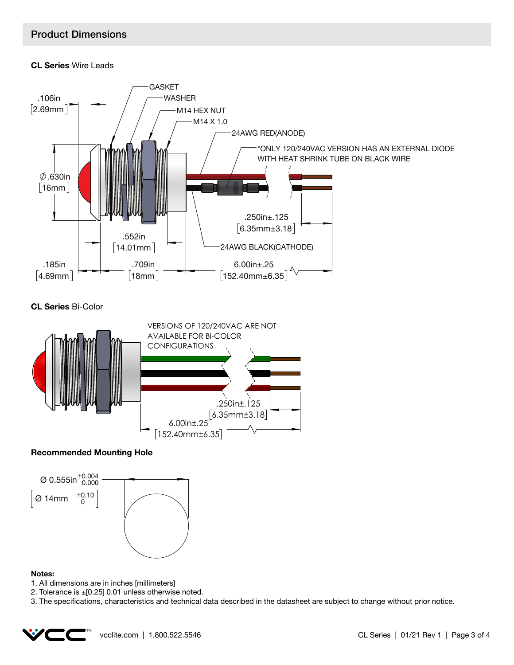# Product Dimensions

## **CL Series** Wire Leads



**CL Series** Bi-Color



## **Recommended Mounting Hole**



#### **Notes:**

- 1. All dimensions are in inches [millimeters]
- 2. Tolerance is ±[0.25] 0.01 unless otherwise noted.

3. The specifications, characteristics and technical data described in the datasheet are subject to change without prior notice.